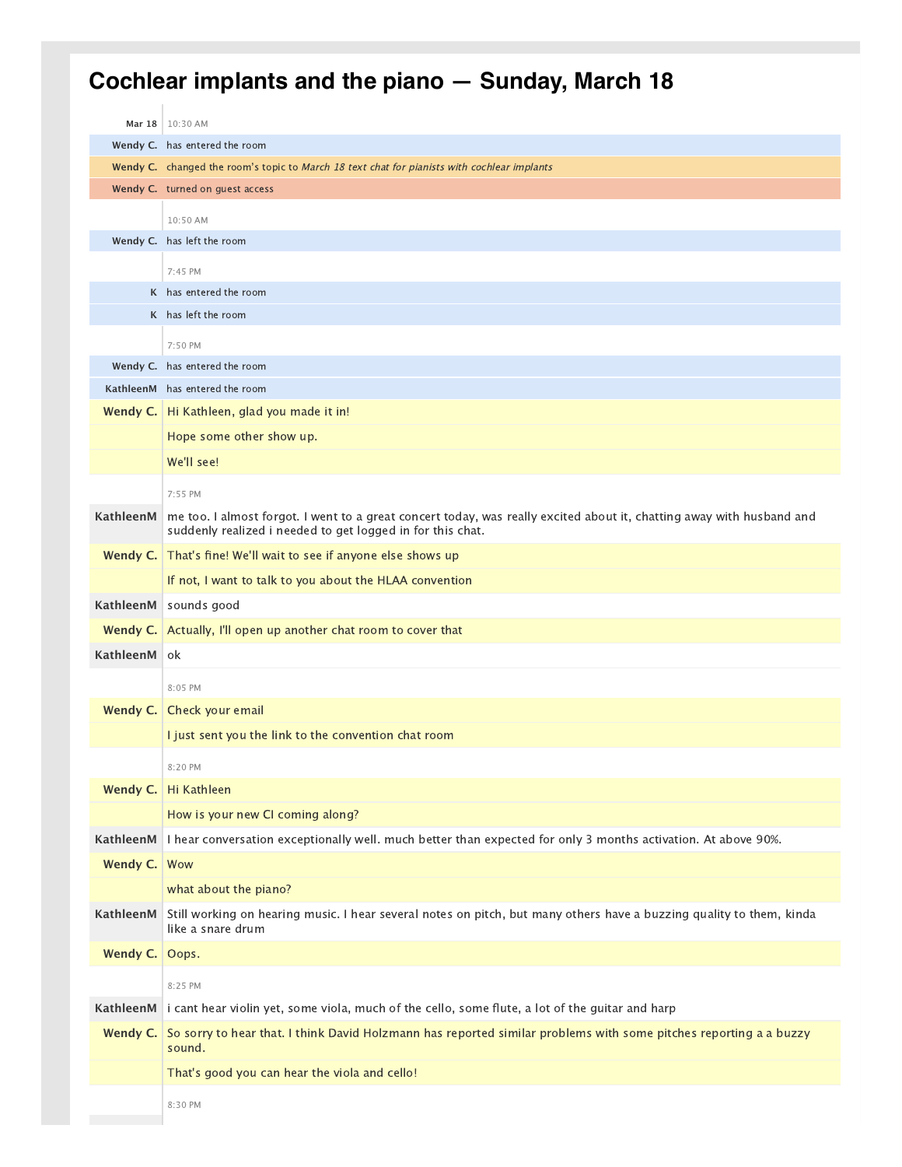## **Cochlear implants and the piano — Sunday, March 18**

|                | Mar 18   10:30 AM                                                                                                     |
|----------------|-----------------------------------------------------------------------------------------------------------------------|
|                | Wendy C. has entered the room                                                                                         |
|                | Wendy C. changed the room's topic to March 18 text chat for pianists with cochlear implants                           |
|                | Wendy C. turned on guest access                                                                                       |
|                | 10:50 AM                                                                                                              |
|                | Wendy C. has left the room                                                                                            |
|                | 7:45 PM                                                                                                               |
|                | K has entered the room                                                                                                |
|                | K has left the room                                                                                                   |
|                | 7:50 PM                                                                                                               |
|                | Wendy C. has entered the room                                                                                         |
|                | KathleenM has entered the room                                                                                        |
|                | Wendy C.   Hi Kathleen, glad you made it in!                                                                          |
|                | Hope some other show up.                                                                                              |
|                | We'll see!                                                                                                            |
|                | 7:55 PM                                                                                                               |
| KathleenM      | me too. I almost forgot. I went to a great concert today, was really excited about it, chatting away with husband and |
|                | suddenly realized i needed to get logged in for this chat.                                                            |
|                | Wendy C. That's fine! We'll wait to see if anyone else shows up                                                       |
|                | If not, I want to talk to you about the HLAA convention                                                               |
|                | KathleenM   sounds good                                                                                               |
|                | <b>Wendy C.</b> Actually, I'll open up another chat room to cover that                                                |
| KathleenM      | 0k                                                                                                                    |
|                | 8:05 PM                                                                                                               |
| Wendy C.       | Check your email                                                                                                      |
|                | I just sent you the link to the convention chat room                                                                  |
|                | 8:20 PM                                                                                                               |
|                | Wendy C. Hi Kathleen                                                                                                  |
|                | How is your new CI coming along?                                                                                      |
| KathleenM      | I hear conversation exceptionally well. much better than expected for only 3 months activation. At above 90%.         |
| Wendy C.   Wow |                                                                                                                       |
|                | what about the piano?                                                                                                 |
| KathleenM      | Still working on hearing music. I hear several notes on pitch, but many others have a buzzing quality to them, kinda  |
|                | like a snare drum                                                                                                     |
| Wendy C.       | Oops.                                                                                                                 |
|                | 8:25 PM                                                                                                               |
| KathleenM      | i cant hear violin yet, some viola, much of the cello, some flute, a lot of the guitar and harp                       |
| Wendy C.       | So sorry to hear that. I think David Holzmann has reported similar problems with some pitches reporting a a buzzy     |
|                | sound.                                                                                                                |
|                | That's good you can hear the viola and cello!                                                                         |
|                | 8:30 PM                                                                                                               |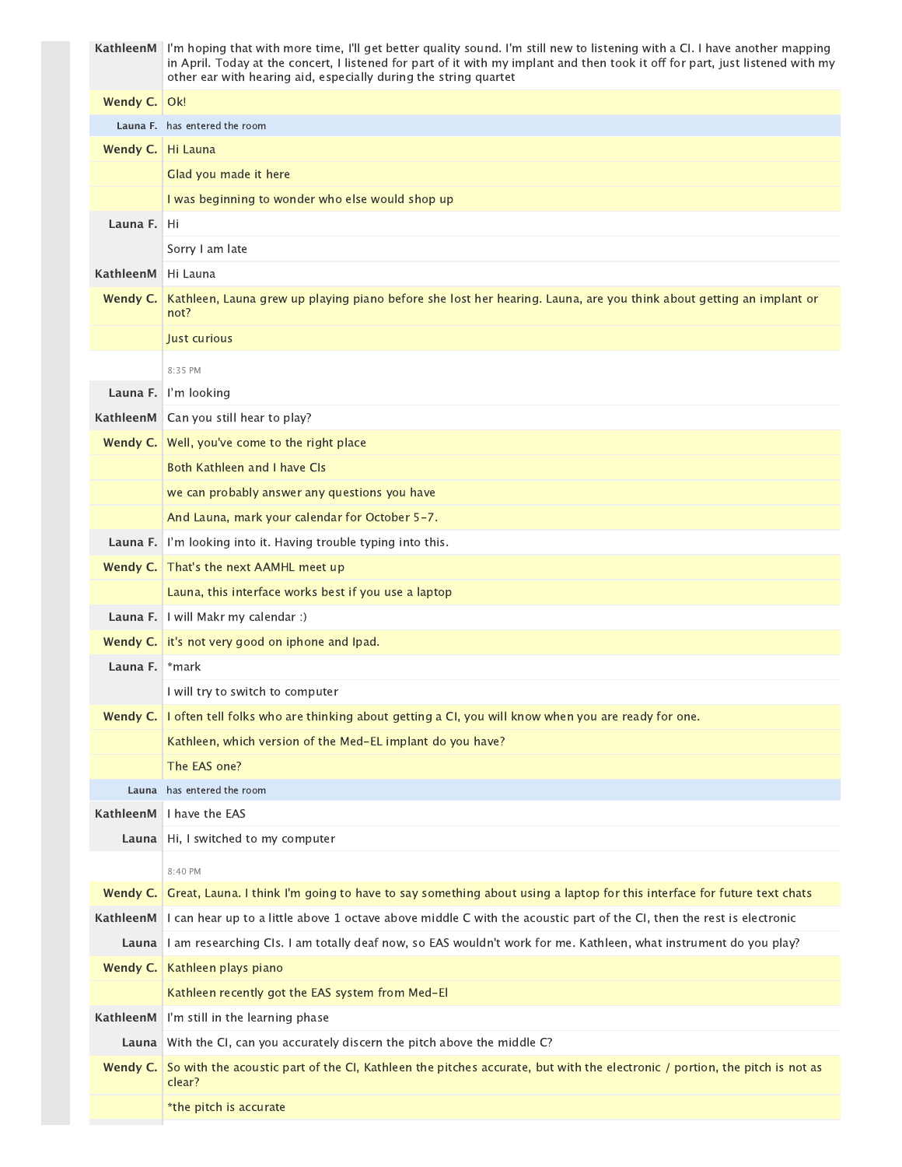|           | KathleenM I'm hoping that with more time, I'll get better quality sound. I'm still new to listening with a CI. I have another mapping<br>in April. Today at the concert, I listened for part of it with my implant and then took it off for part, just listened with my<br>other ear with hearing aid, especially during the string quartet |
|-----------|---------------------------------------------------------------------------------------------------------------------------------------------------------------------------------------------------------------------------------------------------------------------------------------------------------------------------------------------|
| Wendy C.  | Ok!                                                                                                                                                                                                                                                                                                                                         |
|           | Launa F. has entered the room                                                                                                                                                                                                                                                                                                               |
| Wendy C.  | Hi Launa                                                                                                                                                                                                                                                                                                                                    |
|           | Glad you made it here                                                                                                                                                                                                                                                                                                                       |
|           | I was beginning to wonder who else would shop up                                                                                                                                                                                                                                                                                            |
| Launa F.  | Hi                                                                                                                                                                                                                                                                                                                                          |
|           | Sorry I am late                                                                                                                                                                                                                                                                                                                             |
| KathleenM | Hi Launa                                                                                                                                                                                                                                                                                                                                    |
| Wendy C.  | Kathleen, Launa grew up playing piano before she lost her hearing. Launa, are you think about getting an implant or                                                                                                                                                                                                                         |
|           | not?                                                                                                                                                                                                                                                                                                                                        |
|           | Just curious                                                                                                                                                                                                                                                                                                                                |
|           | 8:35 PM                                                                                                                                                                                                                                                                                                                                     |
| Launa F.  | I'm looking                                                                                                                                                                                                                                                                                                                                 |
| KathleenM | Can you still hear to play?                                                                                                                                                                                                                                                                                                                 |
| Wendy C.  | Well, you've come to the right place                                                                                                                                                                                                                                                                                                        |
|           | <b>Both Kathleen and I have CIs</b>                                                                                                                                                                                                                                                                                                         |
|           | we can probably answer any questions you have                                                                                                                                                                                                                                                                                               |
|           | And Launa, mark your calendar for October 5-7.                                                                                                                                                                                                                                                                                              |
| Launa F.  | I'm looking into it. Having trouble typing into this.                                                                                                                                                                                                                                                                                       |
| Wendy C.  | That's the next AAMHL meet up                                                                                                                                                                                                                                                                                                               |
|           | Launa, this interface works best if you use a laptop                                                                                                                                                                                                                                                                                        |
| Launa F.  | I will Makr my calendar :)                                                                                                                                                                                                                                                                                                                  |
|           | Wendy C. it's not very good on iphone and Ipad.                                                                                                                                                                                                                                                                                             |
| Launa F.  | *mark                                                                                                                                                                                                                                                                                                                                       |
|           | I will try to switch to computer                                                                                                                                                                                                                                                                                                            |
| Wendy C.  | I often tell folks who are thinking about getting a CI, you will know when you are ready for one.                                                                                                                                                                                                                                           |
|           | Kathleen, which version of the Med-EL implant do you have?                                                                                                                                                                                                                                                                                  |
|           | The EAS one?                                                                                                                                                                                                                                                                                                                                |
| Launa     | has entered the room                                                                                                                                                                                                                                                                                                                        |
| KathleenM | I have the EAS                                                                                                                                                                                                                                                                                                                              |
| Launa     | Hi, I switched to my computer                                                                                                                                                                                                                                                                                                               |
|           | 8:40 PM                                                                                                                                                                                                                                                                                                                                     |
| Wendy C.  | Great, Launa. I think I'm going to have to say something about using a laptop for this interface for future text chats                                                                                                                                                                                                                      |
| KathleenM | I can hear up to a little above 1 octave above middle C with the acoustic part of the CI, then the rest is electronic                                                                                                                                                                                                                       |
|           | Launa   I am researching CIs. I am totally deaf now, so EAS wouldn't work for me. Kathleen, what instrument do you play?                                                                                                                                                                                                                    |
| Wendy C.  | Kathleen plays piano                                                                                                                                                                                                                                                                                                                        |
|           | Kathleen recently got the EAS system from Med-El                                                                                                                                                                                                                                                                                            |
| KathleenM | I'm still in the learning phase                                                                                                                                                                                                                                                                                                             |
| Launa     | With the CI, can you accurately discern the pitch above the middle C?                                                                                                                                                                                                                                                                       |
| Wendy C.  | So with the acoustic part of the CI, Kathleen the pitches accurate, but with the electronic / portion, the pitch is not as<br>clear?                                                                                                                                                                                                        |
|           | *the pitch is accurate                                                                                                                                                                                                                                                                                                                      |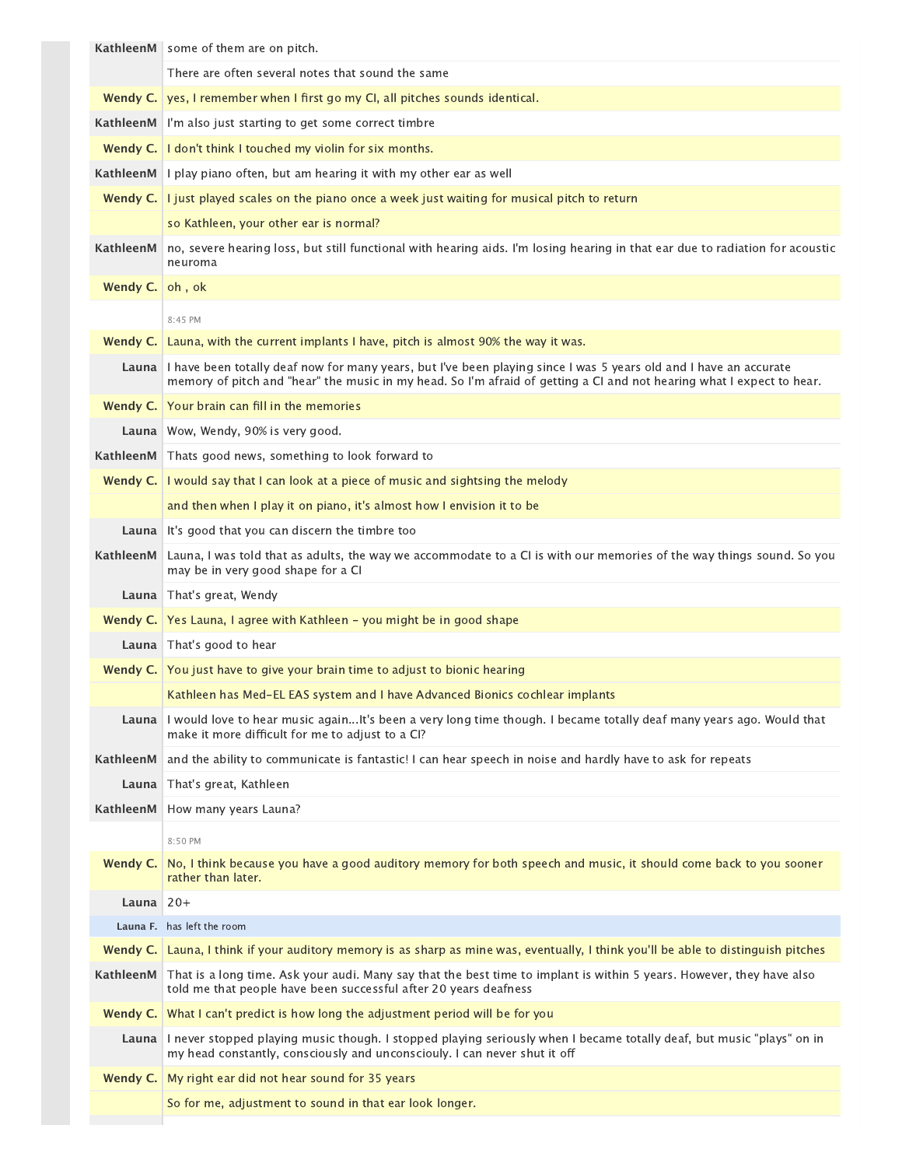|             | KathleenM some of them are on pitch.                                                                                                                                                                                                             |
|-------------|--------------------------------------------------------------------------------------------------------------------------------------------------------------------------------------------------------------------------------------------------|
|             | There are often several notes that sound the same                                                                                                                                                                                                |
| Wendy C.    | yes, I remember when I first go my CI, all pitches sounds identical.                                                                                                                                                                             |
|             | KathleenM I'm also just starting to get some correct timbre                                                                                                                                                                                      |
|             | Wendy C.   I don't think I touched my violin for six months.                                                                                                                                                                                     |
|             | <b>KathleenM</b> I play piano often, but am hearing it with my other ear as well                                                                                                                                                                 |
|             | <b>Wendy C.</b> I just played scales on the piano once a week just waiting for musical pitch to return                                                                                                                                           |
|             | so Kathleen, your other ear is normal?                                                                                                                                                                                                           |
| KathleenM   | no, severe hearing loss, but still functional with hearing aids. I'm losing hearing in that ear due to radiation for acoustic<br>neuroma                                                                                                         |
| Wendy C.    | oh, ok                                                                                                                                                                                                                                           |
|             | 8:45 PM                                                                                                                                                                                                                                          |
|             | Wendy C. Launa, with the current implants I have, pitch is almost 90% the way it was.                                                                                                                                                            |
|             | Launa I have been totally deaf now for many years, but I've been playing since I was 5 years old and I have an accurate<br>memory of pitch and "hear" the music in my head. So I'm afraid of getting a CI and not hearing what I expect to hear. |
|             | Wendy C. Your brain can fill in the memories                                                                                                                                                                                                     |
|             | Launa   Wow, Wendy, 90% is very good.                                                                                                                                                                                                            |
|             | KathleenM Thats good news, something to look forward to                                                                                                                                                                                          |
| Wendy C.    | I would say that I can look at a piece of music and sightsing the melody                                                                                                                                                                         |
|             | and then when I play it on piano, it's almost how I envision it to be                                                                                                                                                                            |
| Launa       | It's good that you can discern the timbre too                                                                                                                                                                                                    |
| KathleenM   | Launa, I was told that as adults, the way we accommodate to a CI is with our memories of the way things sound. So you                                                                                                                            |
|             | may be in very good shape for a CI                                                                                                                                                                                                               |
|             | Launa   That's great, Wendy                                                                                                                                                                                                                      |
|             | <b>Wendy C.</b> Yes Launa, I agree with Kathleen - you might be in good shape                                                                                                                                                                    |
|             | Launa   That's good to hear                                                                                                                                                                                                                      |
|             | <b>Wendy C.</b> You just have to give your brain time to adjust to bionic hearing                                                                                                                                                                |
|             | Kathleen has Med-EL EAS system and I have Advanced Bionics cochlear implants                                                                                                                                                                     |
|             | Launa I would love to hear music againIt's been a very long time though. I became totally deaf many years ago. Would that<br>make it more difficult for me to adjust to a CI?                                                                    |
| KathleenM   | and the ability to communicate is fantastic! I can hear speech in noise and hardly have to ask for repeats                                                                                                                                       |
| Launa       | That's great, Kathleen                                                                                                                                                                                                                           |
| KathleenM   | How many years Launa?                                                                                                                                                                                                                            |
|             | 8:50 PM                                                                                                                                                                                                                                          |
| Wendy C.    | No, I think because you have a good auditory memory for both speech and music, it should come back to you sooner<br>rather than later.                                                                                                           |
| Launa $20+$ |                                                                                                                                                                                                                                                  |
|             | Launa F. has left the room                                                                                                                                                                                                                       |
|             | Wendy C. Launa, I think if your auditory memory is as sharp as mine was, eventually, I think you'll be able to distinguish pitches                                                                                                               |
| KathleenM   | That is a long time. Ask your audi. Many say that the best time to implant is within 5 years. However, they have also<br>told me that people have been successful after 20 years deafness                                                        |
|             | <b>Wendy C.</b> What I can't predict is how long the adjustment period will be for you                                                                                                                                                           |
|             | Launa I never stopped playing music though. I stopped playing seriously when I became totally deaf, but music "plays" on in<br>my head constantly, consciously and unconsciouly. I can never shut it off                                         |
| Wendy C.    | My right ear did not hear sound for 35 years                                                                                                                                                                                                     |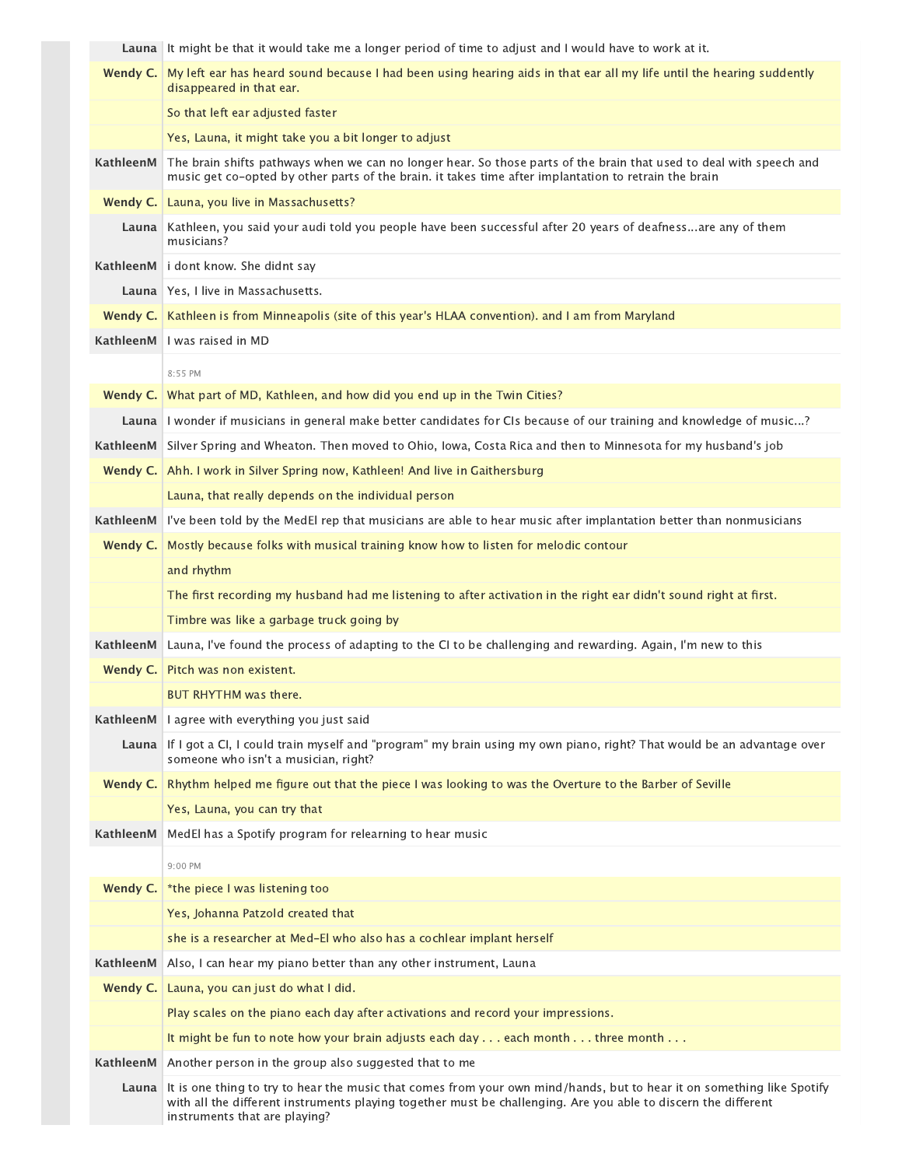|           | Launa It might be that it would take me a longer period of time to adjust and I would have to work at it.                                                                                                                                                                 |
|-----------|---------------------------------------------------------------------------------------------------------------------------------------------------------------------------------------------------------------------------------------------------------------------------|
| Wendy C.  | My left ear has heard sound because I had been using hearing aids in that ear all my life until the hearing suddently<br>disappeared in that ear.                                                                                                                         |
|           | So that left ear adjusted faster                                                                                                                                                                                                                                          |
|           | Yes, Launa, it might take you a bit longer to adjust                                                                                                                                                                                                                      |
| KathleenM | The brain shifts pathways when we can no longer hear. So those parts of the brain that used to deal with speech and<br>music get co-opted by other parts of the brain. it takes time after implantation to retrain the brain                                              |
| Wendy C.  | Launa, you live in Massachusetts?                                                                                                                                                                                                                                         |
| Launa     | Kathleen, you said your audi told you people have been successful after 20 years of deafnessare any of them<br>musicians?                                                                                                                                                 |
| KathleenM | i dont know. She didnt say                                                                                                                                                                                                                                                |
|           | Launa   Yes, I live in Massachusetts.                                                                                                                                                                                                                                     |
|           | <b>Wendy C.</b>   Kathleen is from Minneapolis (site of this year's HLAA convention). and I am from Maryland                                                                                                                                                              |
| KathleenM | I was raised in MD                                                                                                                                                                                                                                                        |
|           | 8:55 PM                                                                                                                                                                                                                                                                   |
| Wendy C.  | What part of MD, Kathleen, and how did you end up in the Twin Cities?                                                                                                                                                                                                     |
|           | Launa I wonder if musicians in general make better candidates for CIs because of our training and knowledge of music?                                                                                                                                                     |
| KathleenM | Silver Spring and Wheaton. Then moved to Ohio, Iowa, Costa Rica and then to Minnesota for my husband's job                                                                                                                                                                |
|           | <b>Wendy C.</b> Ahh. I work in Silver Spring now, Kathleen! And live in Gaithersburg                                                                                                                                                                                      |
|           | Launa, that really depends on the individual person                                                                                                                                                                                                                       |
| KathleenM | I've been told by the MedEl rep that musicians are able to hear music after implantation better than nonmusicians                                                                                                                                                         |
| Wendy C.  | Mostly because folks with musical training know how to listen for melodic contour                                                                                                                                                                                         |
|           | and rhythm                                                                                                                                                                                                                                                                |
|           | The first recording my husband had me listening to after activation in the right ear didn't sound right at first.                                                                                                                                                         |
|           | Timbre was like a garbage truck going by                                                                                                                                                                                                                                  |
| KathleenM | Launa, I've found the process of adapting to the CI to be challenging and rewarding. Again, I'm new to this                                                                                                                                                               |
| Wendy C.  | Pitch was non existent.                                                                                                                                                                                                                                                   |
|           | <b>BUT RHYTHM was there.</b>                                                                                                                                                                                                                                              |
| KathleenM | I agree with everything you just said                                                                                                                                                                                                                                     |
| Launa     | If I got a CI, I could train myself and "program" my brain using my own piano, right? That would be an advantage over<br>someone who isn't a musician, right?                                                                                                             |
| Wendy C.  | Rhythm helped me figure out that the piece I was looking to was the Overture to the Barber of Seville                                                                                                                                                                     |
|           | Yes, Launa, you can try that                                                                                                                                                                                                                                              |
| KathleenM | MedEl has a Spotify program for relearning to hear music                                                                                                                                                                                                                  |
|           | 9:00 PM                                                                                                                                                                                                                                                                   |
| Wendy C.  | *the piece I was listening too                                                                                                                                                                                                                                            |
|           | Yes, Johanna Patzold created that                                                                                                                                                                                                                                         |
|           | she is a researcher at Med-El who also has a cochlear implant herself                                                                                                                                                                                                     |
| KathleenM | Also, I can hear my piano better than any other instrument, Launa                                                                                                                                                                                                         |
| Wendy C.  | Launa, you can just do what I did.                                                                                                                                                                                                                                        |
|           | Play scales on the piano each day after activations and record your impressions.                                                                                                                                                                                          |
|           | It might be fun to note how your brain adjusts each day $\dots$ each month $\dots$ three month $\dots$                                                                                                                                                                    |
| KathleenM | Another person in the group also suggested that to me                                                                                                                                                                                                                     |
| Launa     | It is one thing to try to hear the music that comes from your own mind/hands, but to hear it on something like Spotify<br>with all the different instruments playing together must be challenging. Are you able to discern the different<br>instruments that are playing? |